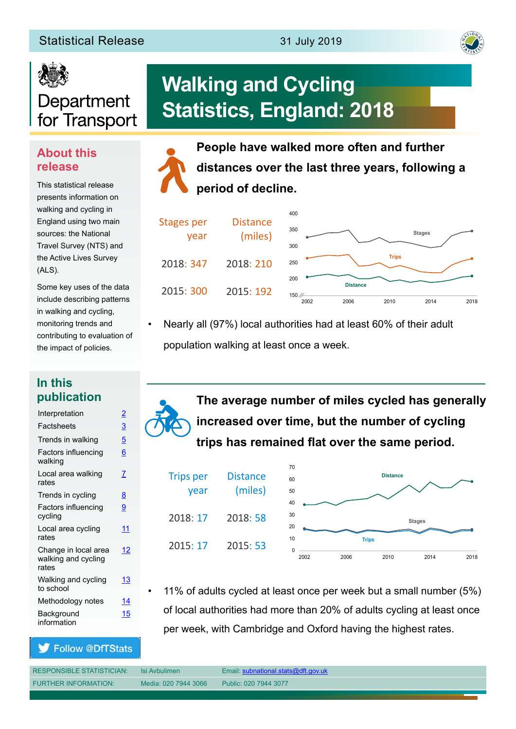#### Statistical Release 31 July 2019



# Department for Transport

#### **About this release**

This statistical release presents information on walking and cycling in England using two main sources: the National Travel Survey (NTS) and the Active Lives Survey (ALS).

Some key uses of the data include describing patterns in walking and cycling, monitoring trends and contributing to evaluation of the impact of policies.

#### **In this publication**

| Interpretation                                       | 2               |
|------------------------------------------------------|-----------------|
| Factsheets                                           | $\overline{3}$  |
| Trends in walking                                    | $\overline{5}$  |
| Factors influencing<br>walking                       | $\underline{6}$ |
| Local area walking<br>rates                          | <u>7</u>        |
| Trends in cycling                                    | <u>8</u>        |
| Factors influencing<br>cycling                       | <u>9</u>        |
| Local area cycling<br>rates                          | <u> 11</u>      |
| Change in local area<br>walking and cycling<br>rates | 12              |
| Walking and cycling<br>to school                     | <u> 13</u>      |
| Methodology notes                                    | 14              |
| Background<br>information                            | 15              |
|                                                      |                 |

#### Follow @DfTStats

| <b>Walking and Cycling</b> |                                  |
|----------------------------|----------------------------------|
|                            | <b>Statistics, England: 2018</b> |



| <b>Stages per</b><br>year | <b>Distance</b><br>(miles) | 400<br>350<br>300   |                         |              | <b>Stages</b> |      |
|---------------------------|----------------------------|---------------------|-------------------------|--------------|---------------|------|
| 2018: 347                 | 2018: 210                  | 250                 |                         | <b>Trips</b> |               |      |
| 2015: 300                 | 2015: 192                  | 200<br>150/<br>2002 | <b>Distance</b><br>2006 | 2010         | 2014          | 2018 |

• Nearly all (97%) local authorities had at least 60% of their adult population walking at least once a week.



| <b>Trips per</b><br>year | <b>Distance</b><br>(miles) | 70<br>60<br>50<br>40 |      | <b>Distance</b>      |               |      |
|--------------------------|----------------------------|----------------------|------|----------------------|---------------|------|
| 2018: 17                 | 2018: 58                   | 30<br>20             |      |                      | <b>Stages</b> |      |
| 2015: 17                 | 2015: 53                   | 10<br>0<br>2002      | 2006 | <b>Trips</b><br>2010 | 2014          | 2018 |

• 11% of adults cycled at least once per week but a small number (5%) of local authorities had more than 20% of adults cycling at least once per week, with Cambridge and Oxford having the highest rates.

| <b>RESPONSIBLE STATISTICIAN:</b> | – Isi Avbulimen      | Email: subnational.stats@dft.gov.uk |
|----------------------------------|----------------------|-------------------------------------|
| <b>FURTHER INFORMATION:</b>      | Media: 020 7944 3066 | Public: 020 7944 3077               |
|                                  |                      |                                     |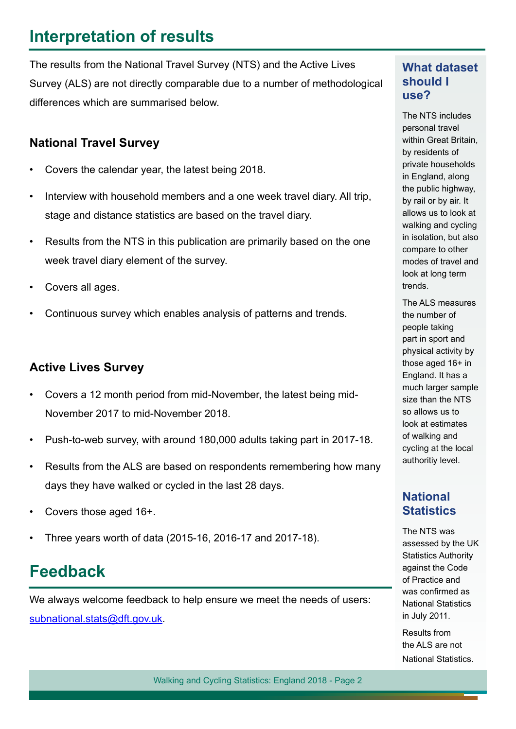### **Interpretation of results**

The results from the National Travel Survey (NTS) and the Active Lives Survey (ALS) are not directly comparable due to a number of methodological diferences which are summarised below.

#### **National Travel Survey**

- Covers the calendar year, the latest being 2018.
- Interview with household members and a one week travel diary. All trip, stage and distance statistics are based on the travel diary.
- Results from the NTS in this publication are primarily based on the one week travel diary element of the survey.
- Covers all ages.
- Continuous survey which enables analysis of patterns and trends.

#### **Active Lives Survey**

- Covers a 12 month period from mid-November, the latest being mid-November 2017 to mid-November 2018.
- Push-to-web survey, with around 180,000 adults taking part in 2017-18.
- Results from the ALS are based on respondents remembering how many days they have walked or cycled in the last 28 days.
- Covers those aged 16+.
- Three years worth of data (2015-16, 2016-17 and 2017-18).

### **Feedback**

We always welcome feedback to help ensure we meet the needs of users: [subnational.stats@dft.gov.uk](mailto:subnational.stats%40dft.gov.uk?subject=).

#### **What dataset should I use?**

The NTS includes personal travel within Great Britain, by residents of private households in England, along the public highway, by rail or by air. It allows us to look at walking and cycling in isolation, but also compare to other modes of travel and look at long term trends.

The ALS measures the number of people taking part in sport and physical activity by those aged 16+ in England. It has a much larger sample size than the NTS so allows us to look at estimates of walking and cycling at the local authoritiy level.

#### **National Statistics**

The NTS was assessed by the UK Statistics Authority against the Code of Practice and was confrmed as National Statistics in July 2011.

Results from the ALS are not National Statistics.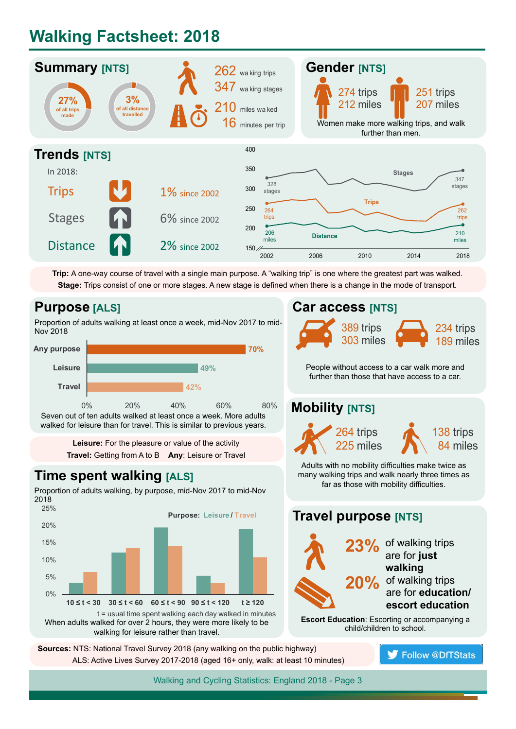### **Walking Factsheet: 2018**



**Trip:** A one-way course of travel with a single main purpose. A "walking trip" is one where the greatest part was walked. **Stage:** Trips consist of one or more stages. A new stage is defned when there is a change in the mode of transport.

#### **Purpose [ALS]**

Proportion of adults walking at least once a week, mid-Nov 2017 to mid-Nov 2018



Seven out of ten adults walked at least once a week. More adults walked for leisure than for travel. This is similar to previous years.

> **Leisure:** For the pleasure or value of the activity **Travel:** Getting from A to B **Any**: Leisure or Travel

#### **Time spent walking [ALS]**

Proportion of adults walking, by purpose, mid-Nov 2017 to mid-Nov 2018



#### **Car access [NTS]**



People without access to a car walk more and further than those that have access to a car.

### **Mobility [NTS]**



Adults with no mobility difficulties make twice as many walking trips and walk nearly three times as far as those with mobility difficulties.



**Escort Education**: Escorting or accompanying a child/children to school.

 **Sources:** NTS: National Travel Survey 2018 (any walking on the public highway) ALS: Active Lives Survey 2017-2018 (aged 16+ only, walk: at least 10 minutes)

**Follow @DfTStats**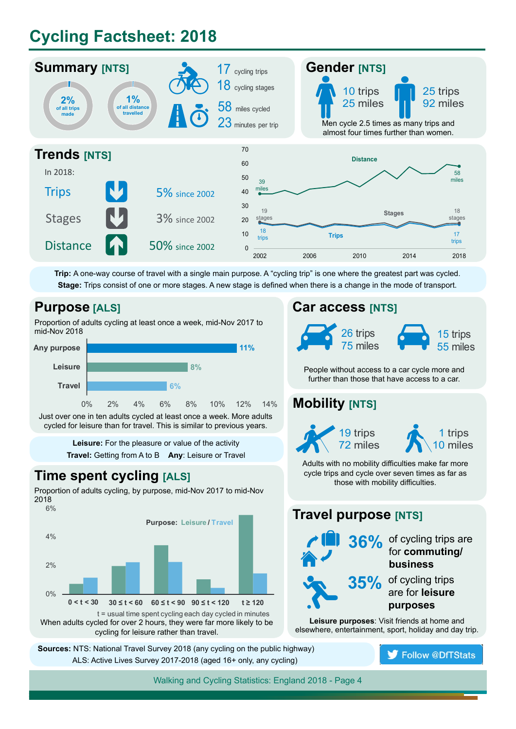### **Cycling Factsheet: 2018**



**Trip:** A one-way course of travel with a single main purpose. A "cycling trip" is one where the greatest part was cycled. **Stage:** Trips consist of one or more stages. A new stage is defned when there is a change in the mode of transport.

#### **Purpose [ALS]**

Proportion of adults cycling at least once a week, mid-Nov 2017 to mid-Nov 2018



Just over one in ten adults cycled at least once a week. More adults cycled for leisure than for travel. This is similar to previous years.

> **Leisure:** For the pleasure or value of the activity **Travel:** Getting from A to B **Any**: Leisure or Travel

#### **Time spent cycling [ALS]**

Proportion of adults cycling, by purpose, mid-Nov 2017 to mid-Nov 2018



 **Sources:** NTS: National Travel Survey 2018 (any cycling on the public highway) ALS: Active Lives Survey 2017-2018 (aged 16+ only, any cycling)

#### **Car access [NTS]**



People without access to a car cycle more and further than those that have access to a car.

#### **Mobility [NTS]**



Adults with no mobility difficulties make far more cycle trips and cycle over seven times as far as those with mobility difficulties.

#### **Travel purpose [NTS]**



**Leisure purposes**: Visit friends at home and elsewhere, entertainment, sport, holiday and day trip.

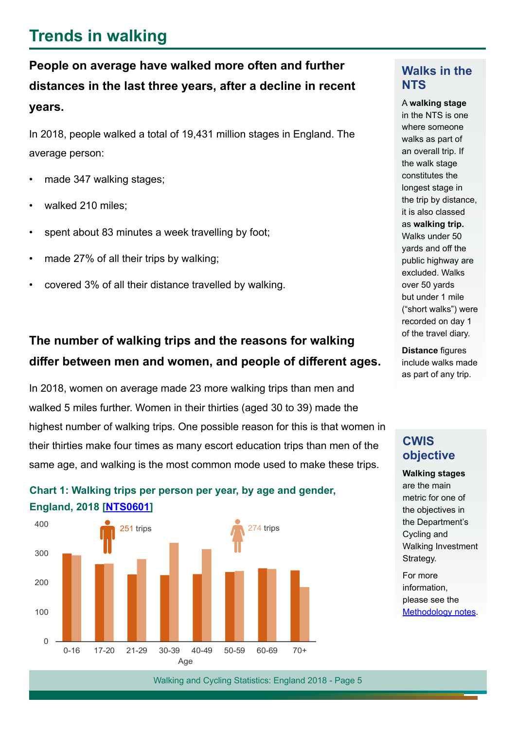### **Trends in walking**

**People on average have walked more often and further distances in the last three years, after a decline in recent years.** 

In 2018, people walked a total of 19,431 million stages in England. The average person:

- made 347 walking stages;
- walked 210 miles:
- spent about 83 minutes a week travelling by foot;
- made 27% of all their trips by walking;
- covered 3% of all their distance travelled by walking.

### **The number of walking trips and the reasons for walking difer between men and women, and people of diferent ages.**

In 2018, women on average made 23 more walking trips than men and walked 5 miles further. Women in their thirties (aged 30 to 39) made the highest number of walking trips. One possible reason for this is that women in their thirties make four times as many escort education trips than men of the same age, and walking is the most common mode used to make these trips.





#### **Walks in the NTS**

A **walking stage** in the NTS is one where someone walks as part of an overall trip. If the walk stage constitutes the longest stage in the trip by distance, it is also classed as **walking trip.** Walks under 50 yards and off the public highway are excluded. Walks over 50 yards but under 1 mile ("short walks") were recorded on day 1 of the travel diary.

**Distance figures** include walks made as part of any trip.

#### **CWIS objective**

**Walking stages** are the main metric for one of the objectives in the Department's Cycling and Walking Investment Strategy.

For more information, please see the [Methodology](#page--1-0) notes.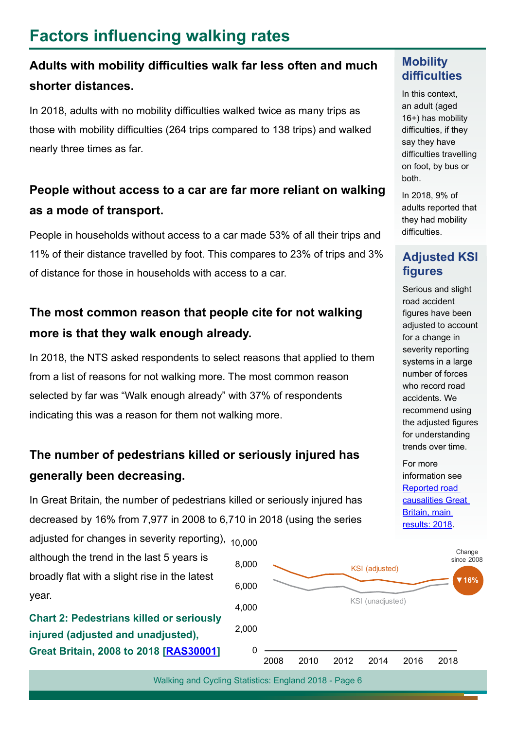### **Factors infuencing walking rates**

### Adults with mobility difficulties walk far less often and much **shorter distances.**

In 2018, adults with no mobility difficulties walked twice as many trips as those with mobility difficulties (264 trips compared to 138 trips) and walked nearly three times as far.

### **People without access to a car are far more reliant on walking as a mode of transport.**

People in households without access to a car made 53% of all their trips and 11% of their distance travelled by foot. This compares to 23% of trips and 3% of distance for those in households with access to a car.

### **The most common reason that people cite for not walking more is that they walk enough already.**

In 2018, the NTS asked respondents to select reasons that applied to them from a list of reasons for not walking more. The most common reason selected by far was "Walk enough already" with 37% of respondents indicating this was a reason for them not walking more.

### **The number of pedestrians killed or seriously injured has generally been decreasing.**

In Great Britain, the number of pedestrians killed or seriously injured has decreased by 16% from 7,977 in 2008 to 6,710 in 2018 (using the series

adjusted for changes in severity reporting), <sub>10,000</sub> although the trend in the last 5 years is broadly fat with a slight rise in the latest year.

**Chart 2: Pedestrians killed or seriously injured (adjusted and unadjusted), Great Britain, 2008 to 2018 [[RAS30001](https://www.gov.uk/government/statistical-data-sets/ras30-reported-casualties-in-road-accidents)]** 0



Walking and Cycling Statistics: England 2018 - Page 6

#### **Mobility**  difficulties

In this context, an adult (aged 16+) has mobility difficulties, if they say they have difficulties travelling on foot, by bus or both.

In 2018, 9% of adults reported that they had mobility difficulties.

#### **Adjusted KSI fgures**

Serious and slight road accident figures have been adjusted to account for a change in severity reporting systems in a large number of forces who record road accidents. We recommend using the adiusted figures for understanding trends over time.

For more information see [Reported road](https://www.gov.uk/government/statistics/reported-road-casualties-great-britain-main-results-2018)  [causalities Great](https://www.gov.uk/government/statistics/reported-road-casualties-great-britain-main-results-2018)  [Britain, main](https://www.gov.uk/government/statistics/reported-road-casualties-great-britain-main-results-2018)  [results: 2018.](https://www.gov.uk/government/statistics/reported-road-casualties-great-britain-main-results-2018)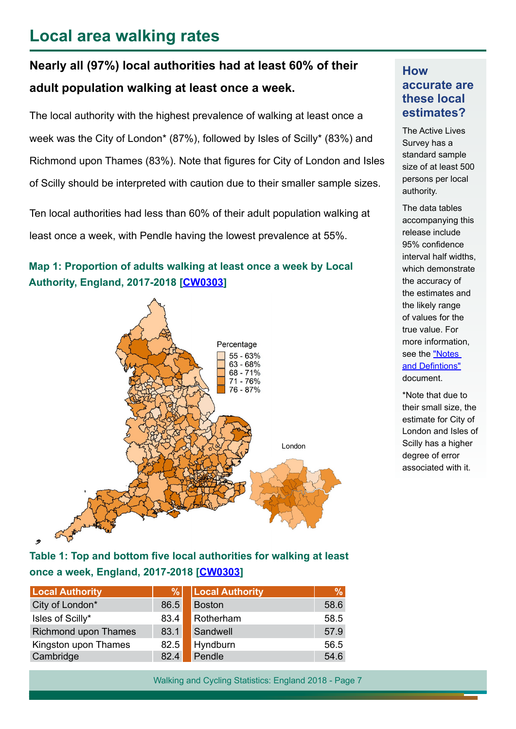### **Local area walking rates**

### **Nearly all (97%) local authorities had at least 60% of their adult population walking at least once a week.**

The local authority with the highest prevalence of walking at least once a week was the City of London\* (87%), followed by Isles of Scilly\* (83%) and Richmond upon Thames (83%). Note that fgures for City of London and Isles of Scilly should be interpreted with caution due to their smaller sample sizes.

Ten local authorities had less than 60% of their adult population walking at least once a week, with Pendle having the lowest prevalence at 55%.

#### **Map 1: Proportion of adults walking at least once a week by Local Authority, England, 2017-2018 [\[CW030](https://www.gov.uk/government/statistical-data-sets/participation-in-walking-and-cycling-cw03)3]**



#### **How accurate are these local estimates?**

The Active Lives Survey has a standard sample size of at least 500 persons per local authority.

The data tables accompanying this release include 95% confdence interval half widths, which demonstrate the accuracy of the estimates and the likely range of values for the true value. For more information, see the "Notes and Defintions" document.

\*Note that due to their small size, the estimate for City of London and Isles of Scilly has a higher degree of error associated with it.

#### Table 1: Top and bottom five local authorities for walking at least **once a week, England, 2017-2018 [\[CW030](https://www.gov.uk/government/statistical-data-sets/participation-in-walking-and-cycling-cw03)3]**

| <b>Local Authority</b> | %    | <b>Local Authority</b> | $\frac{9}{6}$ |
|------------------------|------|------------------------|---------------|
| City of London*        | 86.5 | <b>Boston</b>          | 58.6          |
| Isles of Scilly*       | 83.4 | Rotherham              | 58.5          |
| Richmond upon Thames   | 83.1 | Sandwell               | 57.9          |
| Kingston upon Thames   | 82.5 | Hyndburn               | 56.5          |
| Cambridge              | 82.4 | Pendle                 | 54.6          |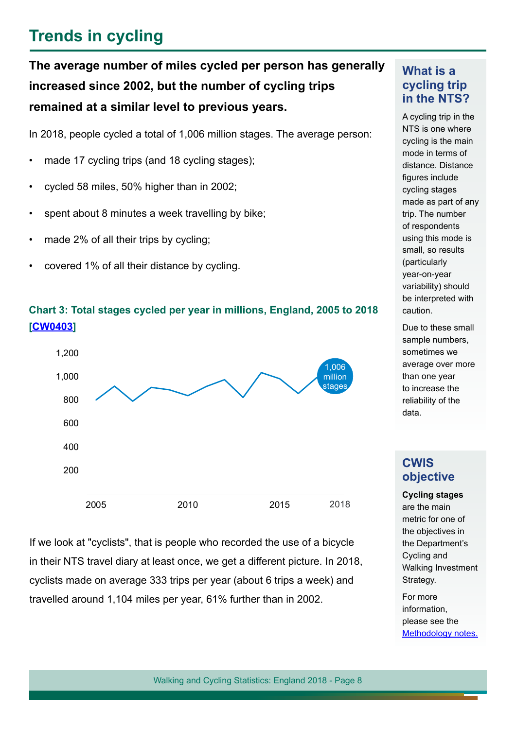### **Trends in cycling**

**The average number of miles cycled per person has generally increased since 2002, but the number of cycling trips remained at a similar level to previous years.**

In 2018, people cycled a total of 1,006 million stages. The average person:

- made 17 cycling trips (and 18 cycling stages);
- cycled 58 miles, 50% higher than in 2002;
- spent about 8 minutes a week travelling by bike;
- made 2% of all their trips by cycling;
- covered 1% of all their distance by cycling.





If we look at "cyclists", that is people who recorded the use of a bicycle in their NTS travel diary at least once, we get a diferent picture. In 2018, cyclists made on average 333 trips per year (about 6 trips a week) and travelled around 1,104 miles per year, 61% further than in 2002.

#### **What is a cycling trip in the NTS?**

A cycling trip in the NTS is one where cycling is the main mode in terms of distance. Distance figures include cycling stages made as part of any trip. The number of respondents using this mode is small, so results (particularly year-on-year variability) should be interpreted with caution.

Due to these small sample numbers, sometimes we average over more than one year to increase the reliability of the data.

#### **CWIS objective**

**Cycling stages** are the main metric for one of the objectives in the Department's Cycling and Walking Investment Strategy.

For more information, please see the [Methodology notes.](#page--1-0)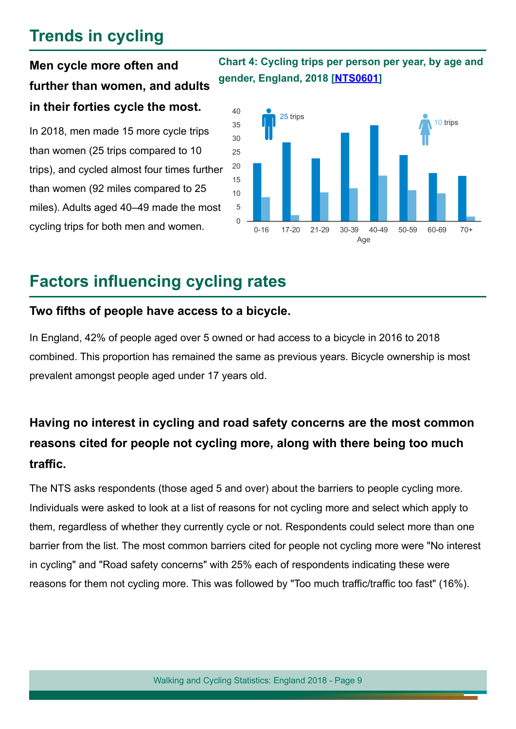### **Trends in cycling**

### **Men cycle more often and further than women, and adults in their forties cycle the most.**

In 2018, men made 15 more cycle trips than women (25 trips compared to 10 trips), and cycled almost four times further than women (92 miles compared to 25 miles). Adults aged 40–49 made the most cycling trips for both men and women.

**Chart 4: Cycling trips per person per year, by age and gender, England, 2018 [[NTS0601](https://www.gov.uk/government/statistical-data-sets/nts03-modal-comparisons#mode-by-age-and-gender)]**



### **Factors infuencing cycling rates**

#### **Two ffths of people have access to a bicycle.**

In England, 42% of people aged over 5 owned or had access to a bicycle in 2016 to 2018 combined. This proportion has remained the same as previous years. Bicycle ownership is most prevalent amongst people aged under 17 years old.

### **Having no interest in cycling and road safety concerns are the most common reasons cited for people not cycling more, along with there being too much trafc.**

The NTS asks respondents (those aged 5 and over) about the barriers to people cycling more. Individuals were asked to look at a list of reasons for not cycling more and select which apply to them, regardless of whether they currently cycle or not. Respondents could select more than one barrier from the list. The most common barriers cited for people not cycling more were "No interest in cycling" and "Road safety concerns" with 25% each of respondents indicating these were reasons for them not cycling more. This was followed by "Too much traffic/traffic too fast" (16%).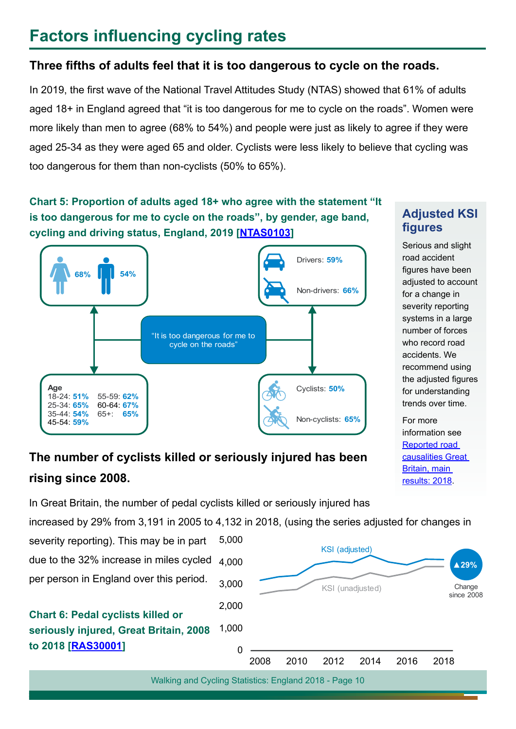### **Factors infuencing cycling rates**

#### **Three ffths of adults feel that it is too dangerous to cycle on the roads.**

In 2019, the frst wave of the National Travel Attitudes Study (NTAS) showed that 61% of adults aged 18+ in England agreed that "it is too dangerous for me to cycle on the roads". Women were more likely than men to agree (68% to 54%) and people were just as likely to agree if they were aged 25-34 as they were aged 65 and older. Cyclists were less likely to believe that cycling was too dangerous for them than non-cyclists (50% to 65%).

#### **Chart 5: Proportion of adults aged 18+ who agree with the statement "It is too dangerous for me to cycle on the roads", by gender, age band, cycling and driving status, England, 2019 [[NTAS0103](https://www.gov.uk/government/statistical-data-sets/national-travel-attitudes-study-ntas)]**



### **The number of cyclists killed or seriously injured has been rising since 2008.**

In Great Britain, the number of pedal cyclists killed or seriously injured has

increased by 29% from 3,191 in 2005 to 4,132 in 2018, (using the series adjusted for changes in

severity reporting). This may be in part due to the 32% increase in miles cycled per person in England over this period. 3,000 4,000 5,000

**Chart 6: Pedal cyclists killed or seriously injured, Great Britain, 2008 to 2018 [\[RAS30001\]](https://www.gov.uk/government/statistical-data-sets/ras30-reported-casualties-in-road-accidents)** 1,000



**Adjusted KSI fgures**

Serious and slight road accident figures have been adjusted to account for a change in severity reporting systems in a large number of forces who record road accidents. We recommend using the adjusted figures for understanding trends over time.

For more information see [Reported road](https://www.gov.uk/government/statistics/reported-road-casualties-great-britain-main-results-2018)  [causalities Great](https://www.gov.uk/government/statistics/reported-road-casualties-great-britain-main-results-2018)  [Britain, main](https://www.gov.uk/government/statistics/reported-road-casualties-great-britain-main-results-2018)  [results: 2018.](https://www.gov.uk/government/statistics/reported-road-casualties-great-britain-main-results-2018)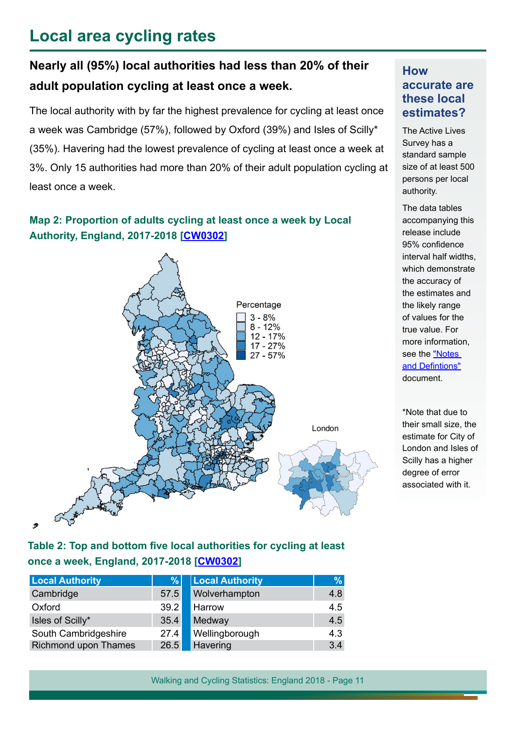### **Local area cycling rates**

### **Nearly all (95%) local authorities had less than 20% of their adult population cycling at least once a week.**

The local authority with by far the highest prevalence for cycling at least once a week was Cambridge (57%), followed by Oxford (39%) and Isles of Scilly\* (35%). Havering had the lowest prevalence of cycling at least once a week at 3%. Only 15 authorities had more than 20% of their adult population cycling at least once a week.

#### **Map 2: Proportion of adults cycling at least once a week by Local Authority, England, 2017-2018 [[CW0302](https://www.gov.uk/government/statistical-data-sets/participation-in-walking-and-cycling-cw03)]**



#### **How accurate are these local estimates?**

The Active Lives Survey has a standard sample size of at least 500 persons per local authority.

The data tables accompanying this release include 95% confidence interval half widths, which demonstrate the accuracy of the estimates and the likely range of values for the true value. For more information, see the "Notes and Defintions" document.

\*Note that due to their small size, the estimate for City of London and Isles of Scilly has a higher degree of error associated with it.

#### Table 2: Top and bottom five local authorities for cycling at least **once a week, England, 2017-2018 [\[CW030](https://www.gov.uk/government/statistical-data-sets/participation-in-walking-and-cycling-cw03)2]**

| <b>Local Authority</b>      | %    | <b>Local Authority</b> | $\frac{9}{6}$ |
|-----------------------------|------|------------------------|---------------|
| Cambridge                   | 57.5 | Wolverhampton          | 4.8           |
| Oxford                      | 39.2 | Harrow                 | 4.5           |
| Isles of Scilly*            | 35.4 | Medway                 | 4.5           |
| South Cambridgeshire        | 27.4 | Wellingborough         | 4.3           |
| <b>Richmond upon Thames</b> | 26.5 | Havering               | 3.4           |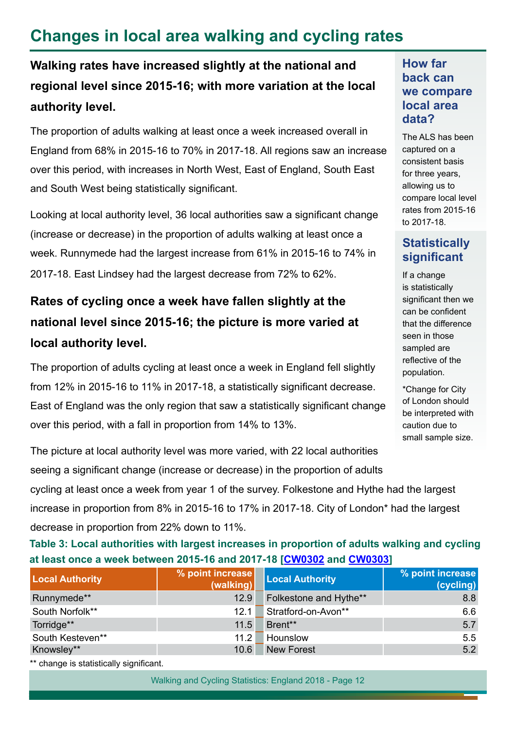### **Changes in local area walking and cycling rates**

**Walking rates have increased slightly at the national and regional level since 2015-16; with more variation at the local authority level.**

The proportion of adults walking at least once a week increased overall in England from 68% in 2015-16 to 70% in 2017-18. All regions saw an increase over this period, with increases in North West, East of England, South East and South West being statistically significant.

Looking at local authority level, 36 local authorities saw a signifcant change (increase or decrease) in the proportion of adults walking at least once a week. Runnymede had the largest increase from 61% in 2015-16 to 74% in 2017-18. East Lindsey had the largest decrease from 72% to 62%.

### **Rates of cycling once a week have fallen slightly at the national level since 2015-16; the picture is more varied at local authority level.**

The proportion of adults cycling at least once a week in England fell slightly from 12% in 2015-16 to 11% in 2017-18, a statistically significant decrease. East of England was the only region that saw a statistically signifcant change over this period, with a fall in proportion from 14% to 13%.

The picture at local authority level was more varied, with 22 local authorities seeing a signifcant change (increase or decrease) in the proportion of adults cycling at least once a week from year 1 of the survey. Folkestone and Hythe had the largest increase in proportion from 8% in 2015-16 to 17% in 2017-18. City of London\* had the largest decrease in proportion from 22% down to 11%.

#### **Table 3: Local authorities with largest increases in proportion of adults walking and cycling at least once a week between 2015-16 and 2017-18 [[CW0302](https://www.gov.uk/government/statistical-data-sets/walking-and-cycling-statistics-cw) and [CW030](https://www.gov.uk/government/statistical-data-sets/participation-in-walking-and-cycling-cw03)3]**

| <b>Local Authority</b> | % point increase<br>(walking) | <b>Local Authority</b> | % point increase<br>(cycling) |
|------------------------|-------------------------------|------------------------|-------------------------------|
| Runnymede**            | 12.9                          | Folkestone and Hythe** | 8.8                           |
| South Norfolk**        | 12.1                          | Stratford-on-Avon**    | 6.6                           |
| Torridge**             | 11.5                          | Brent**                | 5.7                           |
| South Kesteven**       | 11.2                          | Hounslow               | 5.5                           |
| Knowsley**             | 10.6                          | <b>New Forest</b>      | 5.2                           |

\*\* change is statistically significant.

Walking and Cycling Statistics: England 2018 - Page 12

#### **How far back can we compare local area data?**

The ALS has been captured on a consistent basis for three years, allowing us to compare local level rates from 2015-16 to 2017-18.

#### **Statistically**  significant

If a change is statistically significant then we can be confident that the diference seen in those sampled are reflective of the population.

\*Change for City of London should be interpreted with caution due to small sample size.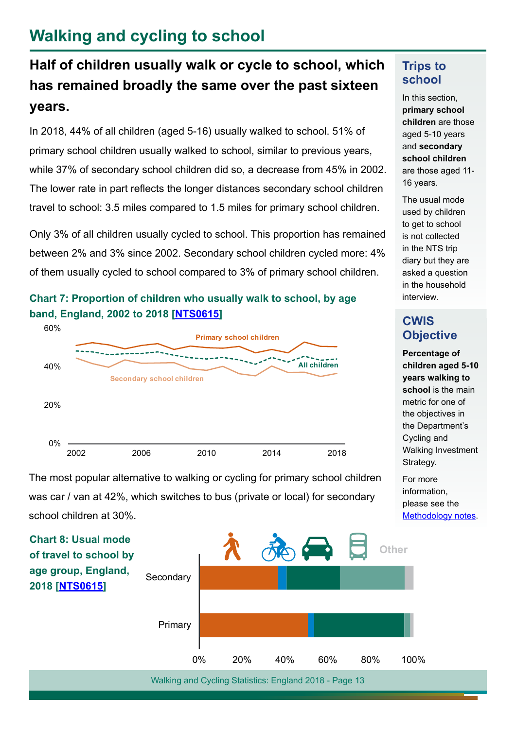### **Walking and cycling to school**

### **Half of children usually walk or cycle to school, which has remained broadly the same over the past sixteen years.**

In 2018, 44% of all children (aged 5-16) usually walked to school. 51% of primary school children usually walked to school, similar to previous years, while 37% of secondary school children did so, a decrease from 45% in 2002. The lower rate in part reflects the longer distances secondary school children travel to school: 3.5 miles compared to 1.5 miles for primary school children.

Only 3% of all children usually cycled to school. This proportion has remained between 2% and 3% since 2002. Secondary school children cycled more: 4% of them usually cycled to school compared to 3% of primary school children.





The most popular alternative to walking or cycling for primary school children was car / van at 42%, which switches to bus (private or local) for secondary school children at 30%.



#### **Trips to school**

In this section, **primary school children** are those aged 5-10 years and **secondary school children** are those aged 11- 16 years.

The usual mode used by children to get to school is not collected in the NTS trip diary but they are asked a question in the household interview.

#### **CWIS Objective**

**Percentage of children aged 5-10 years walking to school** is the main metric for one of the objectives in the Department's Cycling and Walking Investment Strategy.

For more information, please see the [Methodology](#page--1-0) notes.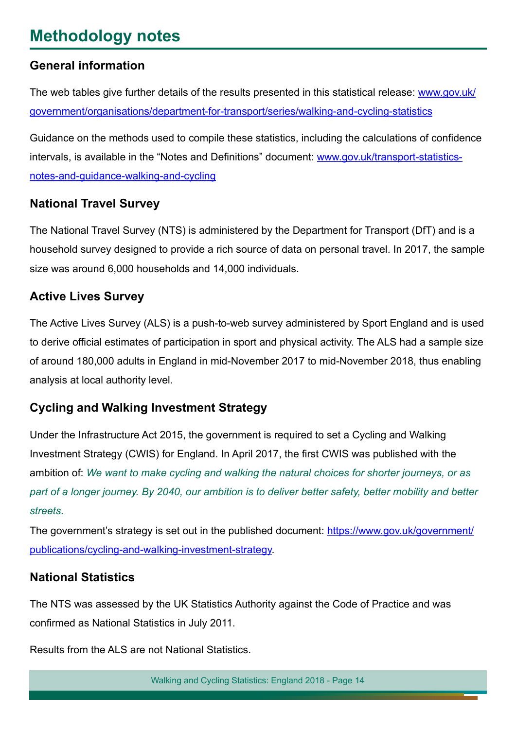### **Methodology notes**

#### **General information**

The web tables give further details of the results presented in this statistical release: [www.gov.uk/](www.gov.uk/government/organisations/department-for-transport/series/walking-and-cycling-statistics) [government/organisations/department-for-transport/series/walking-and-cycling-statistics](www.gov.uk/government/organisations/department-for-transport/series/walking-and-cycling-statistics)

Guidance on the methods used to compile these statistics, including the calculations of confdence intervals, is available in the "Notes and Definitions" document: [www.gov.uk/transport-statistics](www.gov.uk/transport-statistics-notes-and-guidance-walking-and-cycling)[notes-and-guidance-walking-and-cycling](www.gov.uk/transport-statistics-notes-and-guidance-walking-and-cycling)

#### **National Travel Survey**

The National Travel Survey (NTS) is administered by the Department for Transport (DfT) and is a household survey designed to provide a rich source of data on personal travel. In 2017, the sample size was around 6,000 households and 14,000 individuals.

#### **Active Lives Survey**

The Active Lives Survey (ALS) is a push-to-web survey administered by Sport England and is used to derive official estimates of participation in sport and physical activity. The ALS had a sample size of around 180,000 adults in England in mid-November 2017 to mid-November 2018, thus enabling analysis at local authority level.

#### **Cycling and Walking Investment Strategy**

Under the Infrastructure Act 2015, the government is required to set a Cycling and Walking Investment Strategy (CWIS) for England. In April 2017, the frst CWIS was published with the ambition of: *We want to make cycling and walking the natural choices for shorter journeys, or as part of a longer journey. By 2040, our ambition is to deliver better safety, better mobility and better streets.*

The government's strategy is set out in the published document: [https://www.gov.uk/government/](https://www.gov.uk/government/publications/cycling-and-walking-investment-strategy) [publications/cycling-and-walking-investment-strategy.](https://www.gov.uk/government/publications/cycling-and-walking-investment-strategy)

#### **National Statistics**

The NTS was assessed by the UK Statistics Authority against the Code of Practice and was confrmed as National Statistics in July 2011.

Results from the ALS are not National Statistics.